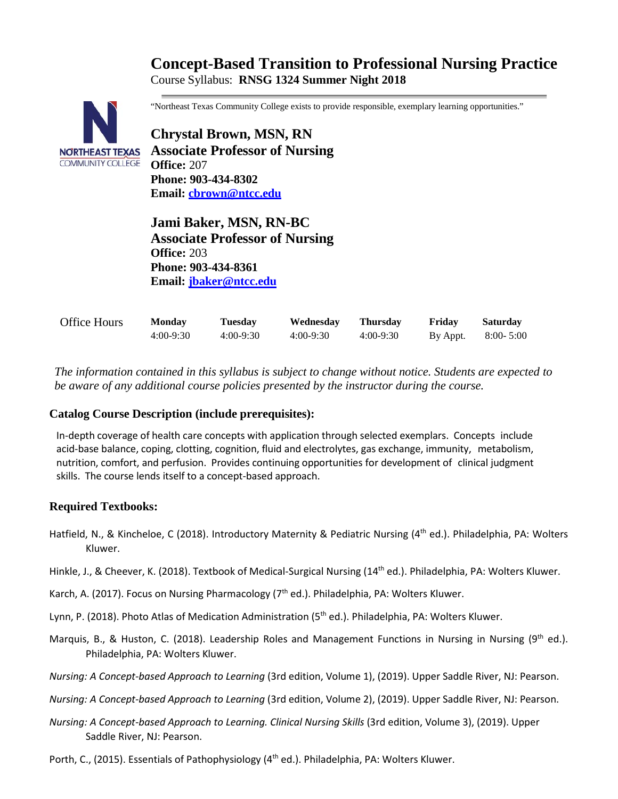# **Concept-Based Transition to Professional Nursing Practice** Course Syllabus: **RNSG 1324 Summer Night 2018**



"Northeast Texas Community College exists to provide responsible, exemplary learning opportunities."

**Chrystal Brown, MSN, RN Associate Professor of Nursing Office:** 207 **Phone: 903-434-8302 Email: [cbrown@ntcc.edu](mailto:cbrown@ntcc.edu)**

**Jami Baker, MSN, RN-BC Associate Professor of Nursing Office:** 203 **Phone: 903-434-8361 Email: [jbaker@ntcc.edu](mailto:jbaker@ntcc.edu)**

| <b>Office Hours</b> | <b>Monday</b> | Tuesdav     | Wednesday   | <b>Thursday</b> | Friday   | <b>Saturday</b> |
|---------------------|---------------|-------------|-------------|-----------------|----------|-----------------|
|                     | $4:00-9:30$   | $4:00-9:30$ | $4:00-9:30$ | $4:00-9:30$     | By Appt. | $8:00 - 5:00$   |

*The information contained in this syllabus is subject to change without notice. Students are expected to be aware of any additional course policies presented by the instructor during the course.*

#### **Catalog Course Description (include prerequisites):**

In-depth coverage of health care concepts with application through selected exemplars. Concepts include acid-base balance, coping, clotting, cognition, fluid and electrolytes, gas exchange, immunity, metabolism, nutrition, comfort, and perfusion. Provides continuing opportunities for development of clinical judgment skills. The course lends itself to a concept-based approach.

## **Required Textbooks:**

- Hatfield, N., & Kincheloe, C (2018). Introductory Maternity & Pediatric Nursing (4<sup>th</sup> ed.). Philadelphia, PA: Wolters Kluwer.
- Hinkle, J., & Cheever, K. (2018). Textbook of Medical-Surgical Nursing (14<sup>th</sup> ed.). Philadelphia, PA: Wolters Kluwer.
- Karch, A. (2017). Focus on Nursing Pharmacology (7<sup>th</sup> ed.). Philadelphia, PA: Wolters Kluwer.
- Lynn, P. (2018). Photo Atlas of Medication Administration (5<sup>th</sup> ed.). Philadelphia, PA: Wolters Kluwer.
- Marquis, B., & Huston, C. (2018). Leadership Roles and Management Functions in Nursing in Nursing (9<sup>th</sup> ed.). Philadelphia, PA: Wolters Kluwer.
- *Nursing: A Concept-based Approach to Learning* (3rd edition, Volume 1), (2019). Upper Saddle River, NJ: Pearson.
- *Nursing: A Concept-based Approach to Learning* (3rd edition, Volume 2), (2019). Upper Saddle River, NJ: Pearson.
- *Nursing: A Concept-based Approach to Learning. Clinical Nursing Skills (3rd edition, Volume 3), (2019). Upper* Saddle River, NJ: Pearson.
- Porth, C., (2015). Essentials of Pathophysiology (4<sup>th</sup> ed.). Philadelphia, PA: Wolters Kluwer.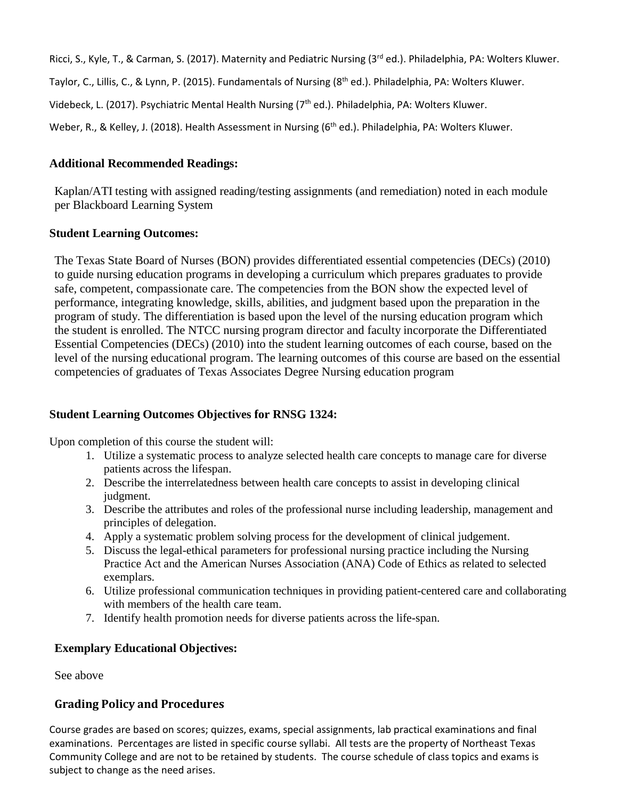Ricci, S., Kyle, T., & Carman, S. (2017). Maternity and Pediatric Nursing (3<sup>rd</sup> ed.). Philadelphia, PA: Wolters Kluwer.

Taylor, C., Lillis, C., & Lynn, P. (2015). Fundamentals of Nursing (8th ed.). Philadelphia, PA: Wolters Kluwer.

Videbeck, L. (2017). Psychiatric Mental Health Nursing (7<sup>th</sup> ed.). Philadelphia, PA: Wolters Kluwer.

Weber, R., & Kelley, J. (2018). Health Assessment in Nursing (6<sup>th</sup> ed.). Philadelphia, PA: Wolters Kluwer.

#### **Additional Recommended Readings:**

Kaplan/ATI testing with assigned reading/testing assignments (and remediation) noted in each module per Blackboard Learning System

#### **Student Learning Outcomes:**

The Texas State Board of Nurses (BON) provides differentiated essential competencies (DECs) (2010) to guide nursing education programs in developing a curriculum which prepares graduates to provide safe, competent, compassionate care. The competencies from the BON show the expected level of performance, integrating knowledge, skills, abilities, and judgment based upon the preparation in the program of study. The differentiation is based upon the level of the nursing education program which the student is enrolled. The NTCC nursing program director and faculty incorporate the Differentiated Essential Competencies (DECs) (2010) into the student learning outcomes of each course, based on the level of the nursing educational program. The learning outcomes of this course are based on the essential competencies of graduates of Texas Associates Degree Nursing education program

## **Student Learning Outcomes Objectives for RNSG 1324:**

Upon completion of this course the student will:

- 1. Utilize a systematic process to analyze selected health care concepts to manage care for diverse patients across the lifespan.
- 2. Describe the interrelatedness between health care concepts to assist in developing clinical judgment.
- 3. Describe the attributes and roles of the professional nurse including leadership, management and principles of delegation.
- 4. Apply a systematic problem solving process for the development of clinical judgement.
- 5. Discuss the legal-ethical parameters for professional nursing practice including the Nursing Practice Act and the American Nurses Association (ANA) Code of Ethics as related to selected exemplars.
- 6. Utilize professional communication techniques in providing patient-centered care and collaborating with members of the health care team.
- 7. Identify health promotion needs for diverse patients across the life-span.

## **Exemplary Educational Objectives:**

See above

## **Grading Policy and Procedures**

Course grades are based on scores; quizzes, exams, special assignments, lab practical examinations and final examinations. Percentages are listed in specific course syllabi. All tests are the property of Northeast Texas Community College and are not to be retained by students. The course schedule of class topics and exams is subject to change as the need arises.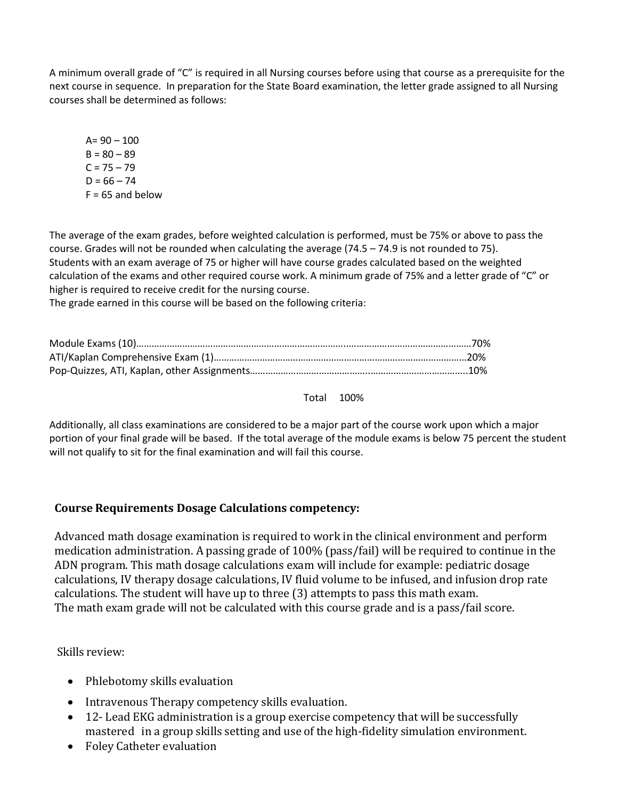A minimum overall grade of "C" is required in all Nursing courses before using that course as a prerequisite for the next course in sequence. In preparation for the State Board examination, the letter grade assigned to all Nursing courses shall be determined as follows:

 $A = 90 - 100$  $B = 80 - 89$  $C = 75 - 79$  $D = 66 - 74$  $F = 65$  and below

The average of the exam grades, before weighted calculation is performed, must be 75% or above to pass the course. Grades will not be rounded when calculating the average (74.5 – 74.9 is not rounded to 75). Students with an exam average of 75 or higher will have course grades calculated based on the weighted calculation of the exams and other required course work. A minimum grade of 75% and a letter grade of "C" or higher is required to receive credit for the nursing course.

The grade earned in this course will be based on the following criteria:

Total 100%

Additionally, all class examinations are considered to be a major part of the course work upon which a major portion of your final grade will be based. If the total average of the module exams is below 75 percent the student will not qualify to sit for the final examination and will fail this course.

## **Course Requirements Dosage Calculations competency:**

Advanced math dosage examination is required to work in the clinical environment and perform medication administration. A passing grade of 100% (pass/fail) will be required to continue in the ADN program. This math dosage calculations exam will include for example: pediatric dosage calculations, IV therapy dosage calculations, IV fluid volume to be infused, and infusion drop rate calculations. The student will have up to three (3) attempts to pass this math exam. The math exam grade will not be calculated with this course grade and is a pass/fail score.

Skills review:

- Phlebotomy skills evaluation
- Intravenous Therapy competency skills evaluation.
- 12- Lead EKG administration is a group exercise competency that will be successfully mastered in a group skills setting and use of the high-fidelity simulation environment.
- Foley Catheter evaluation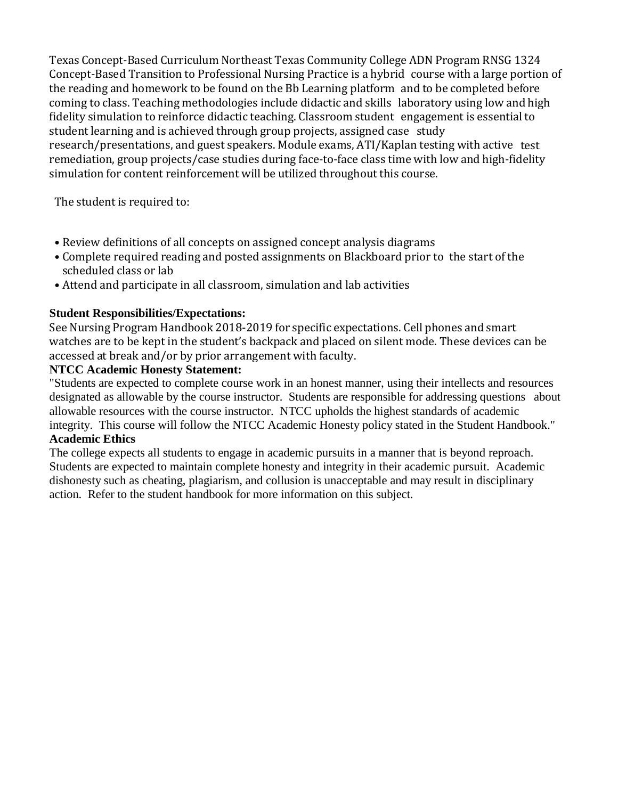Texas Concept-Based Curriculum Northeast Texas Community College ADN Program RNSG 1324 Concept-Based Transition to Professional Nursing Practice is a hybrid course with a large portion of the reading and homework to be found on the Bb Learning platform and to be completed before coming to class. Teaching methodologies include didactic and skills laboratory using low and high fidelity simulation to reinforce didactic teaching. Classroom student engagement is essential to student learning and is achieved through group projects, assigned case study research/presentations, and guest speakers. Module exams, ATI/Kaplan testing with active test remediation, group projects/case studies during face-to-face class time with low and high-fidelity simulation for content reinforcement will be utilized throughout this course.

The student is required to:

- Review definitions of all concepts on assigned concept analysis diagrams
- Complete required reading and posted assignments on Blackboard prior to the start of the scheduled class or lab
- Attend and participate in all classroom, simulation and lab activities

# **Student Responsibilities/Expectations:**

See Nursing Program Handbook 2018-2019 for specific expectations. Cell phones and smart watches are to be kept in the student's backpack and placed on silent mode. These devices can be accessed at break and/or by prior arrangement with faculty.

# **NTCC Academic Honesty Statement:**

"Students are expected to complete course work in an honest manner, using their intellects and resources designated as allowable by the course instructor. Students are responsible for addressing questions about allowable resources with the course instructor. NTCC upholds the highest standards of academic integrity. This course will follow the NTCC Academic Honesty policy stated in the Student Handbook."

## **Academic Ethics**

The college expects all students to engage in academic pursuits in a manner that is beyond reproach. Students are expected to maintain complete honesty and integrity in their academic pursuit. Academic dishonesty such as cheating, plagiarism, and collusion is unacceptable and may result in disciplinary action. Refer to the student handbook for more information on this subject.